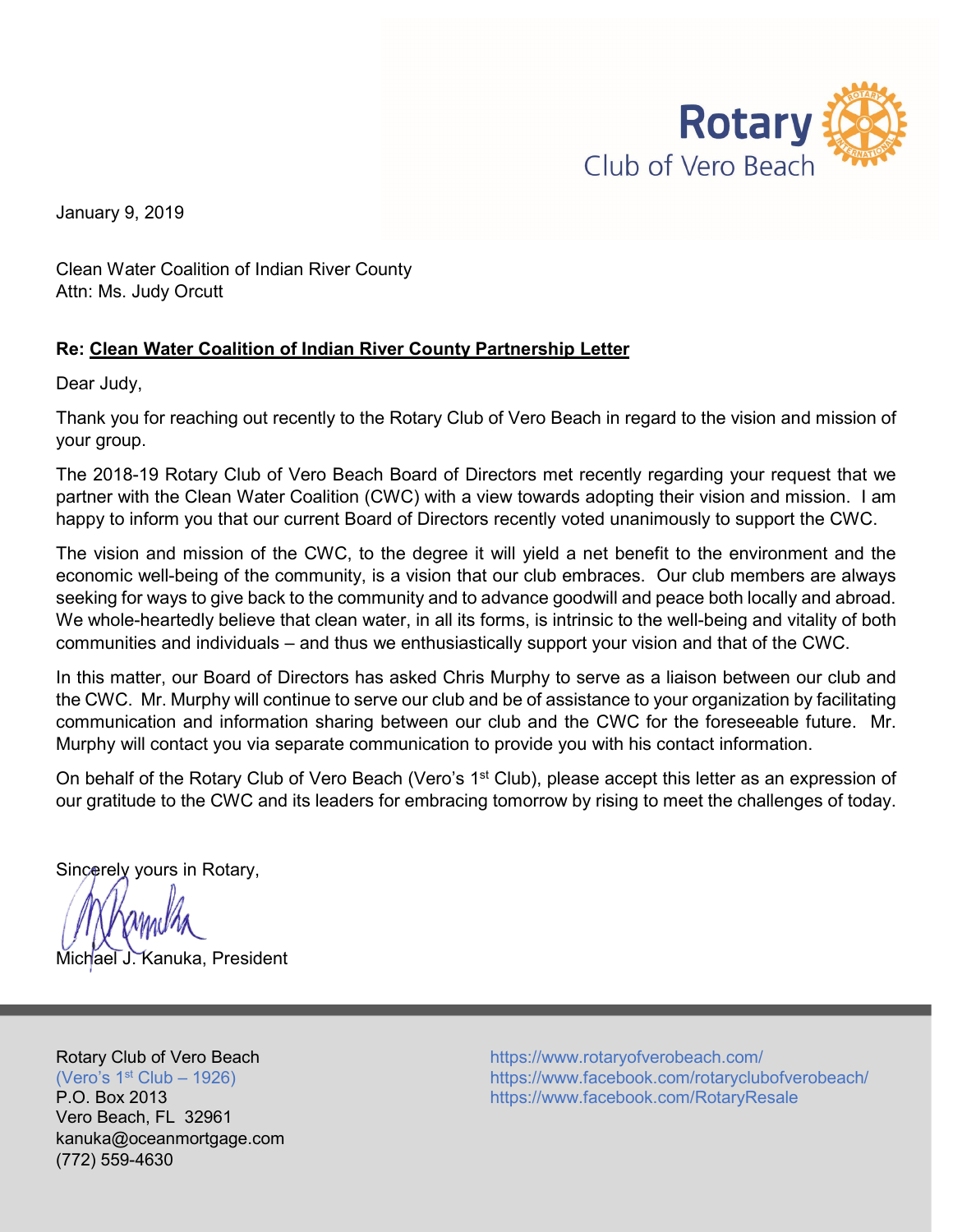

January 9, 2019

Clean Water Coalition of Indian River County Attn: Ms. Judy Orcutt

## **Re: Clean Water Coalition of Indian River County Partnership Letter**

Dear Judy,

Thank you for reaching out recently to the Rotary Club of Vero Beach in regard to the vision and mission of your group.

The 2018-19 Rotary Club of Vero Beach Board of Directors met recently regarding your request that we partner with the Clean Water Coalition (CWC) with a view towards adopting their vision and mission. I am happy to inform you that our current Board of Directors recently voted unanimously to support the CWC.

The vision and mission of the CWC, to the degree it will yield a net benefit to the environment and the economic well-being of the community, is a vision that our club embraces. Our club members are always seeking for ways to give back to the community and to advance goodwill and peace both locally and abroad. We whole-heartedly believe that clean water, in all its forms, is intrinsic to the well-being and vitality of both communities and individuals – and thus we enthusiastically support your vision and that of the CWC.

In this matter, our Board of Directors has asked Chris Murphy to serve as a liaison between our club and the CWC. Mr. Murphy will continue to serve our club and be of assistance to your organization by facilitating communication and information sharing between our club and the CWC for the foreseeable future. Mr. Murphy will contact you via separate communication to provide you with his contact information.

On behalf of the Rotary Club of Vero Beach (Vero's 1<sup>st</sup> Club), please accept this letter as an expression of our gratitude to the CWC and its leaders for embracing tomorrow by rising to meet the challenges of today.

Sincerely yours in Rotary,

Michael J. Kanuka, President

Vero Beach, FL 32961 kanuka@oceanmortgage.com (772) 559-4630

Rotary Club of Vero Beach **<https://www.rotaryofverobeach.com/>** (Vero's 1<sup>st</sup> Club – 1926) https://www.facebook.com/rotaryclubofverobeach/ P.O. Box 2013 **https://www.facebook.com/RotaryResale**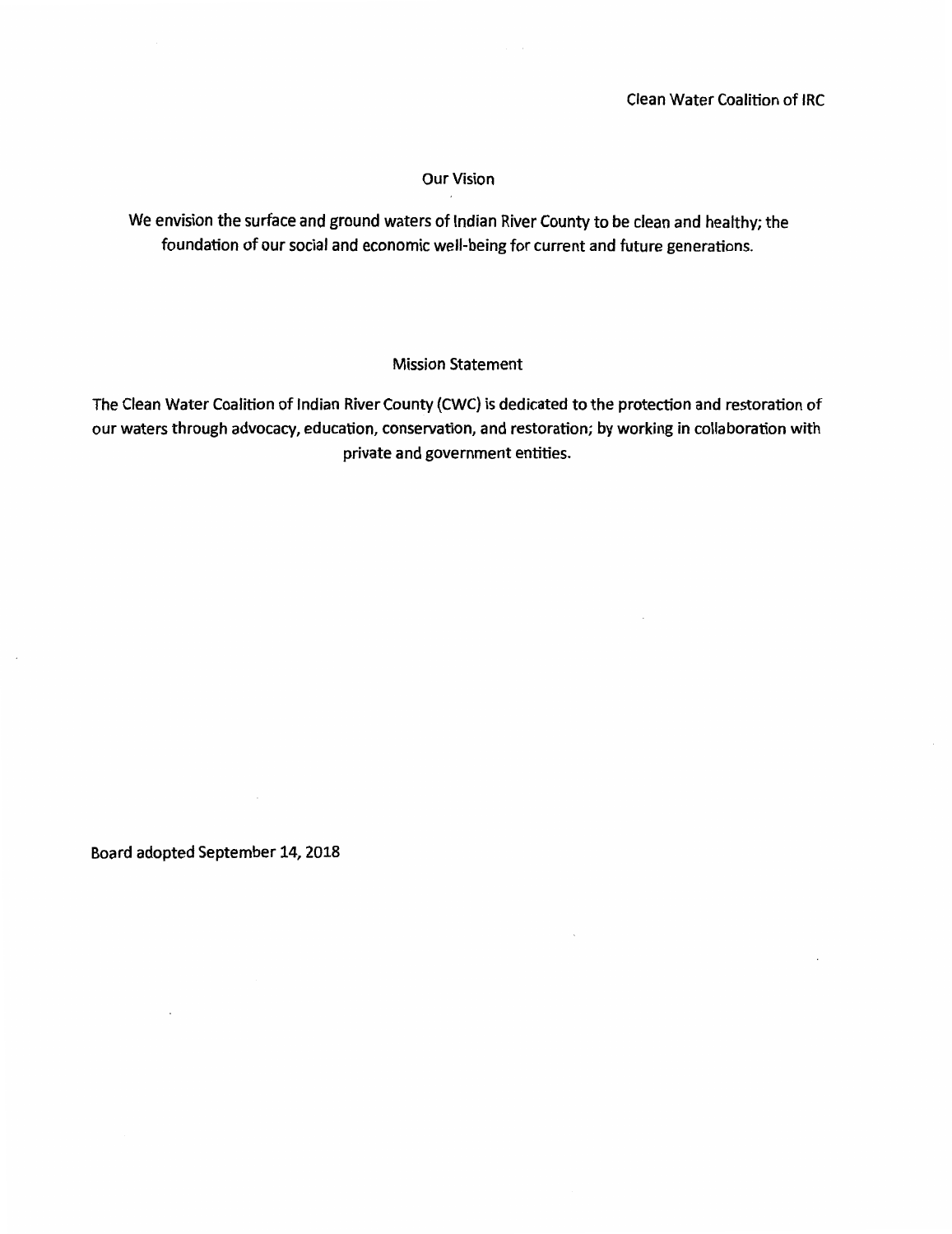#### **Our Vision**

We envision the surface and ground waters of Indian River County to be clean and healthy; the foundation of our social and economic well-being for current and future generations.

#### **Mission Statement**

The Clean Water Coalition of Indian River County (CWC) is dedicated to the protection and restoration of our waters through advocacy, education, conservation, and restoration; by working in collaboration with private and government entities.

Board adopted September 14, 2018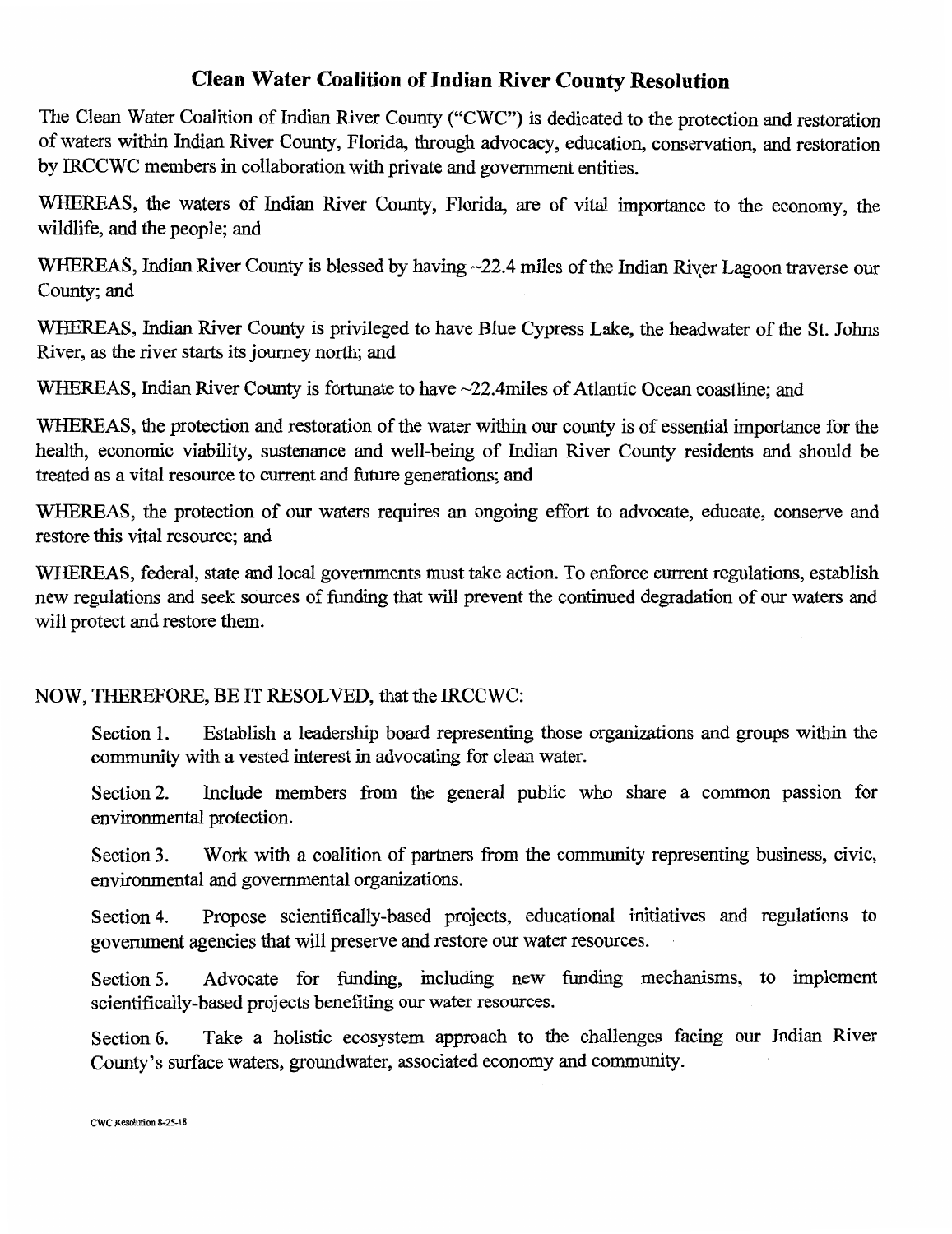## **Clean Water Coalition of Indian River County Resolution**

The Clean Water Coalition of Indian River County ("CWC") is dedicated to the protection and restoration of waters within Indian River County, Florida, through advocacy, education, conservation, and restoration by IRCCWC members in collaboration with private and government entities.

WHEREAS, the waters of Indian River County, Florida, are of vital importance to the economy, the wildlife, and the people; and

WHEREAS, Indian River County is blessed by having ~22.4 miles of the Indian River Lagoon traverse our County; and

WHEREAS, Indian River County is privileged to have Blue Cypress Lake, the headwater of the St. Johns River, as the river starts its journey north; and

WHEREAS, Indian River County is fortunate to have ~22.4miles of Atlantic Ocean coastline; and

WHEREAS, the protection and restoration of the water within our county is of essential importance for the health, economic viability, sustenance and well-being of Indian River County residents and should be treated as a vital resource to current and future generations; and

WHEREAS, the protection of our waters requires an ongoing effort to advocate, educate, conserve and restore this vital resource; and

WHEREAS, federal, state and local governments must take action. To enforce current regulations, establish new regulations and seek sources of funding that will prevent the continued degradation of our waters and will protect and restore them.

## NOW, THEREFORE, BE IT RESOLVED, that the IRCCWC:

Establish a leadership board representing those organizations and groups within the Section 1. community with a vested interest in advocating for clean water.

Include members from the general public who share a common passion for Section 2. environmental protection.

Work with a coalition of partners from the community representing business, civic, Section 3. environmental and governmental organizations.

Propose scientifically-based projects, educational initiatives and regulations to Section 4. government agencies that will preserve and restore our water resources.

Advocate for funding, including new funding mechanisms, to implement Section 5. scientifically-based projects benefiting our water resources.

Take a holistic ecosystem approach to the challenges facing our Indian River Section 6. County's surface waters, groundwater, associated economy and community.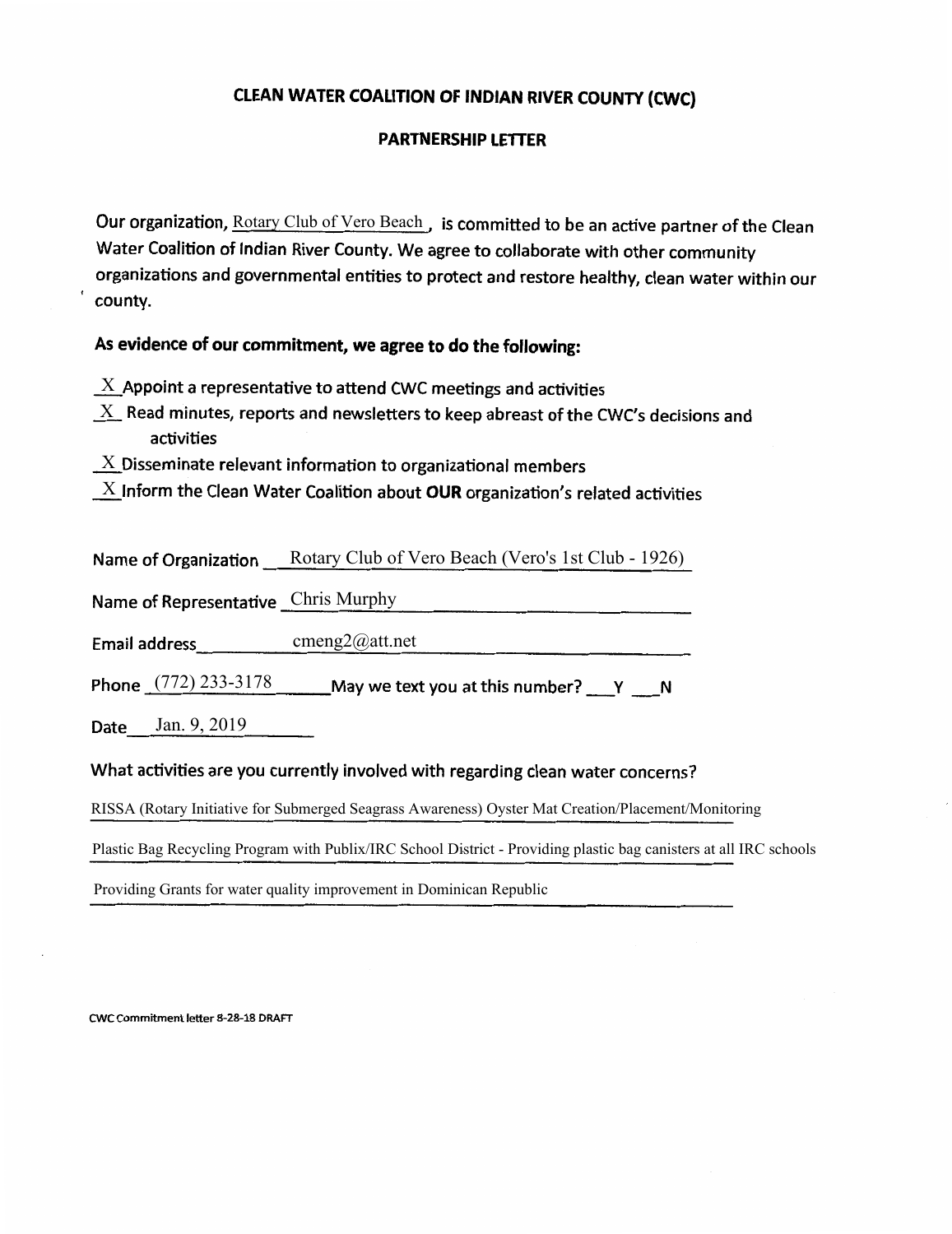### CLEAN WATER COALITION OF INDIAN RIVER COUNTY (CWC)

#### **PARTNERSHIP LETTER**

Our organization, Rotary Club of Vero Beach, is committed to be an active partner of the Clean Water Coalition of Indian River County. We agree to collaborate with other community organizations and governmental entities to protect and restore healthy, clean water within our county.

## As evidence of our commitment, we agree to do the following:

- $X$  Appoint a representative to attend CWC meetings and activities
- $X_{\perp}$  Read minutes, reports and newsletters to keep abreast of the CWC's decisions and activities
- $\underline{X}$  Disseminate relevant information to organizational members

|  |  | $\mathbf{X}$ Inform the Clean Water Coalition about OUR organization's related activities |  |  |
|--|--|-------------------------------------------------------------------------------------------|--|--|
|--|--|-------------------------------------------------------------------------------------------|--|--|

| Name of Organization | Rotary Club of Vero Beach (Vero's 1st Club - 1926) |  |
|----------------------|----------------------------------------------------|--|
|                      |                                                    |  |

Name of Representative Chris Murphy

Email address cmeng2@att.net

Phone  $(772)$  233-3178 May we text you at this number?  $Y = N$ 

**Date** Jan. 9, 2019

#### What activities are you currently involved with regarding clean water concerns?

RISSA (Rotary Initiative for Submerged Seagrass Awareness) Oyster Mat Creation/Placement/Monitoring

Plastic Bag Recycling Program with Publix/IRC School District - Providing plastic bag canisters at all IRC schools

Providing Grants for water quality improvement in Dominican Republic

CWC Commitment letter 8-28-18 DRAFT